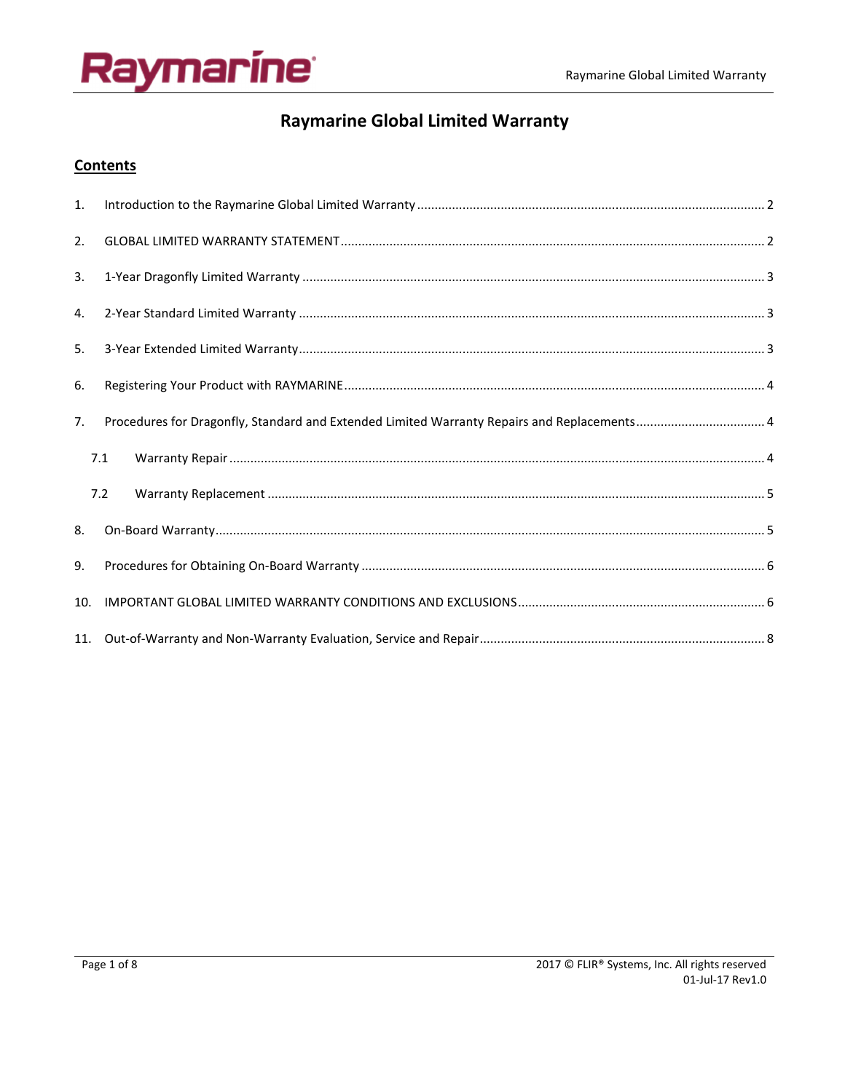# Raymarine<sup>.</sup>

## **Raymarine Global Limited Warranty**

## **Contents**

| 1.  |                                                                                             |  |
|-----|---------------------------------------------------------------------------------------------|--|
| 2.  |                                                                                             |  |
| 3.  |                                                                                             |  |
| 4.  |                                                                                             |  |
| 5.  |                                                                                             |  |
| 6.  |                                                                                             |  |
| 7.  | Procedures for Dragonfly, Standard and Extended Limited Warranty Repairs and Replacements 4 |  |
|     | 7.1                                                                                         |  |
|     | 7.2                                                                                         |  |
| 8.  |                                                                                             |  |
| 9.  |                                                                                             |  |
| 10. |                                                                                             |  |
|     |                                                                                             |  |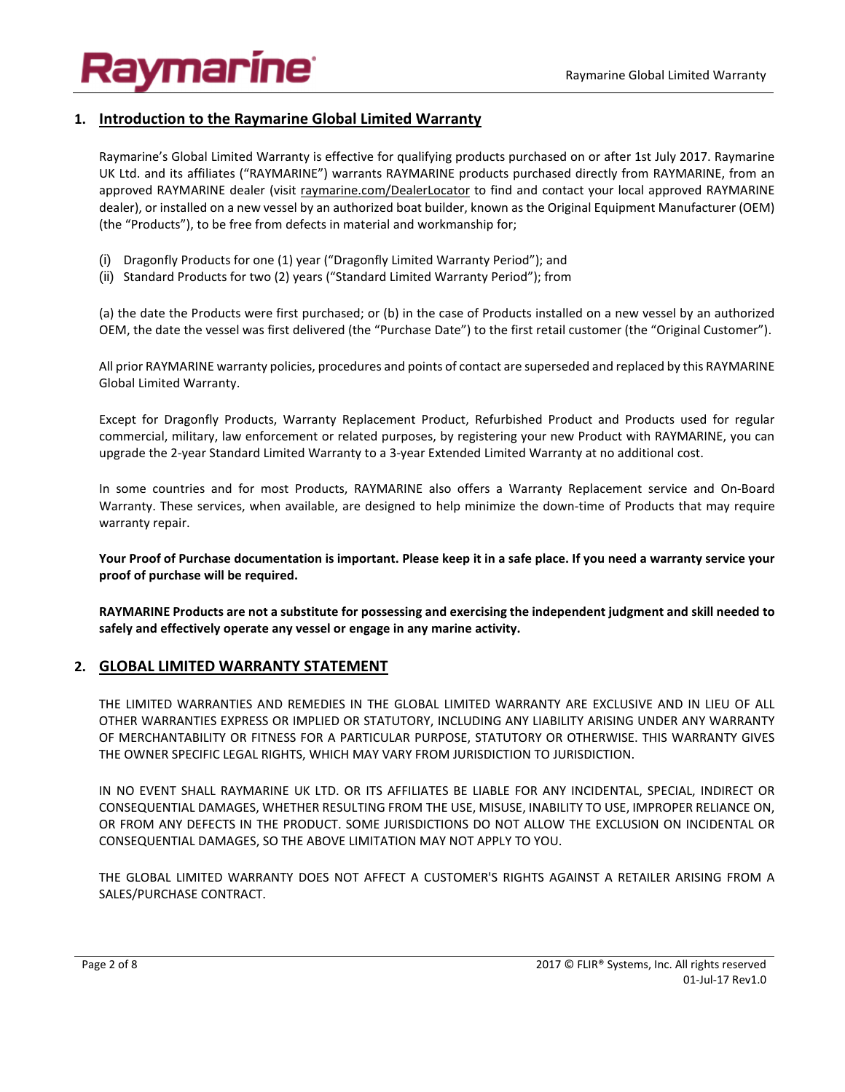# vmarine°

## **1. Introduction to the Raymarine Global Limited Warranty**

Raymarine's Global Limited Warranty is effective for qualifying products purchased on or after 1st July 2017. Raymarine UK Ltd. and its affiliates ("RAYMARINE") warrants RAYMARINE products purchased directly from RAYMARINE, from an approved RAYMARINE dealer (visit raymarine.com/DealerLocator to find and contact your local approved RAYMARINE dealer), or installed on a new vessel by an authorized boat builder, known as the Original Equipment Manufacturer (OEM) (the "Products"), to be free from defects in material and workmanship for;

- (i) Dragonfly Products for one (1) year ("Dragonfly Limited Warranty Period"); and
- (ii) Standard Products for two (2) years ("Standard Limited Warranty Period"); from

(a) the date the Products were first purchased; or (b) in the case of Products installed on a new vessel by an authorized OEM, the date the vessel was first delivered (the "Purchase Date") to the first retail customer (the "Original Customer").

All prior RAYMARINE warranty policies, procedures and points of contact are superseded and replaced by this RAYMARINE Global Limited Warranty.

Except for Dragonfly Products, Warranty Replacement Product, Refurbished Product and Products used for regular commercial, military, law enforcement or related purposes, by registering your new Product with RAYMARINE, you can upgrade the 2-year Standard Limited Warranty to a 3-year Extended Limited Warranty at no additional cost.

In some countries and for most Products, RAYMARINE also offers a Warranty Replacement service and On-Board Warranty. These services, when available, are designed to help minimize the down-time of Products that may require warranty repair.

**Your Proof of Purchase documentation is important. Please keep it in a safe place. If you need a warranty service your proof of purchase will be required.** 

**RAYMARINE Products are not a substitute for possessing and exercising the independent judgment and skill needed to safely and effectively operate any vessel or engage in any marine activity.** 

### **2. GLOBAL LIMITED WARRANTY STATEMENT**

THE LIMITED WARRANTIES AND REMEDIES IN THE GLOBAL LIMITED WARRANTY ARE EXCLUSIVE AND IN LIEU OF ALL OTHER WARRANTIES EXPRESS OR IMPLIED OR STATUTORY, INCLUDING ANY LIABILITY ARISING UNDER ANY WARRANTY OF MERCHANTABILITY OR FITNESS FOR A PARTICULAR PURPOSE, STATUTORY OR OTHERWISE. THIS WARRANTY GIVES THE OWNER SPECIFIC LEGAL RIGHTS, WHICH MAY VARY FROM JURISDICTION TO JURISDICTION.

IN NO EVENT SHALL RAYMARINE UK LTD. OR ITS AFFILIATES BE LIABLE FOR ANY INCIDENTAL, SPECIAL, INDIRECT OR CONSEQUENTIAL DAMAGES, WHETHER RESULTING FROM THE USE, MISUSE, INABILITY TO USE, IMPROPER RELIANCE ON, OR FROM ANY DEFECTS IN THE PRODUCT. SOME JURISDICTIONS DO NOT ALLOW THE EXCLUSION ON INCIDENTAL OR CONSEQUENTIAL DAMAGES, SO THE ABOVE LIMITATION MAY NOT APPLY TO YOU.

THE GLOBAL LIMITED WARRANTY DOES NOT AFFECT A CUSTOMER'S RIGHTS AGAINST A RETAILER ARISING FROM A SALES/PURCHASE CONTRACT.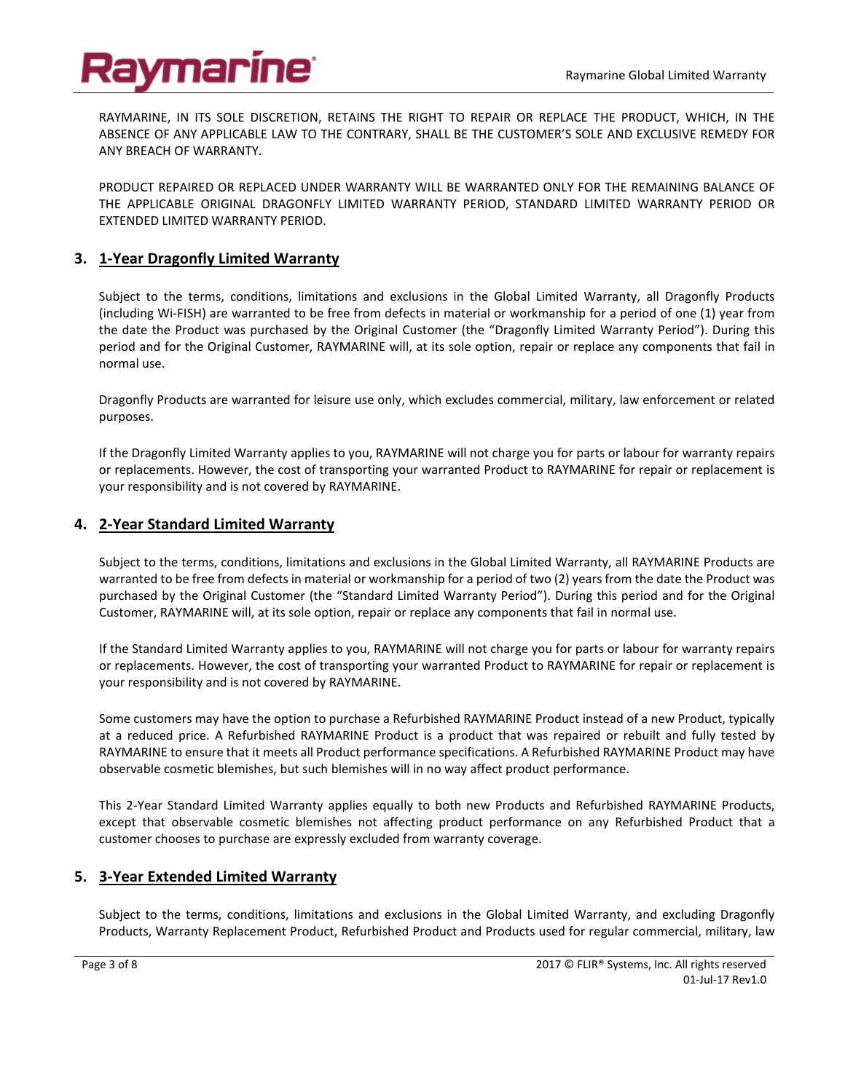## ymarine<sup>.</sup>

RAYMARINE, IN ITS SOLE DISCRETION, RETAINS THE RIGHT TO REPAIR OR REPLACE THE PRODUCT, WHICH, IN THE ABSENCE OF ANY APPLICABLE LAW TO THE CONTRARY, SHALL BE THE CUSTOMER'S SOLE AND EXCLUSIVE REMEDY FOR ANY BREACH OF WARRANTY.

PRODUCT REPAIRED OR REPLACED UNDER WARRANTY WILL BE WARRANTED ONLY FOR THE REMAINING BALANCE OF THE APPLICABLE ORIGINAL DRAGONFLY LIMITED WARRANTY PERIOD, STANDARD LIMITED WARRANTY PERIOD OR EXTENDED LIMITED WARRANTY PERIOD.

## **3. 1-Year Dragonfly Limited Warranty**

Subject to the terms, conditions, limitations and exclusions in the Global Limited Warranty, all Dragonfly Products (including Wi-FISH) are warranted to be free from defects in material or workmanship for a period of one (1) year from the date the Product was purchased by the Original Customer (the "Dragonfly Limited Warranty Period"). During this period and for the Original Customer, RAYMARINE will, at its sole option, repair or replace any components that fail in normal use.

Dragonfly Products are warranted for leisure use only, which excludes commercial, military, law enforcement or related purposes.

If the Dragonfly Limited Warranty applies to you, RAYMARINE will not charge you for parts or labour for warranty repairs or replacements. However, the cost of transporting your warranted Product to RAYMARINE for repair or replacement is your responsibility and is not covered by RAYMARINE.

### **4. 2-Year Standard Limited Warranty**

Subject to the terms, conditions, limitations and exclusions in the Global Limited Warranty, all RAYMARINE Products are warranted to be free from defects in material or workmanship for a period of two (2) years from the date the Product was purchased by the Original Customer (the "Standard Limited Warranty Period"). During this period and for the Original Customer, RAYMARINE will, at its sole option, repair or replace any components that fail in normal use.

If the Standard Limited Warranty applies to you, RAYMARINE will not charge you for parts or labour for warranty repairs or replacements. However, the cost of transporting your warranted Product to RAYMARINE for repair or replacement is your responsibility and is not covered by RAYMARINE.

Some customers may have the option to purchase a Refurbished RAYMARINE Product instead of a new Product, typically at a reduced price. A Refurbished RAYMARINE Product is a product that was repaired or rebuilt and fully tested by RAYMARINE to ensure that it meets all Product performance specifications. A Refurbished RAYMARINE Product may have observable cosmetic blemishes, but such blemishes will in no way affect product performance.

This 2-Year Standard Limited Warranty applies equally to both new Products and Refurbished RAYMARINE Products, except that observable cosmetic blemishes not affecting product performance on any Refurbished Product that a customer chooses to purchase are expressly excluded from warranty coverage.

### **5. 3-Year Extended Limited Warranty**

Subject to the terms, conditions, limitations and exclusions in the Global Limited Warranty, and excluding Dragonfly Products, Warranty Replacement Product, Refurbished Product and Products used for regular commercial, military, law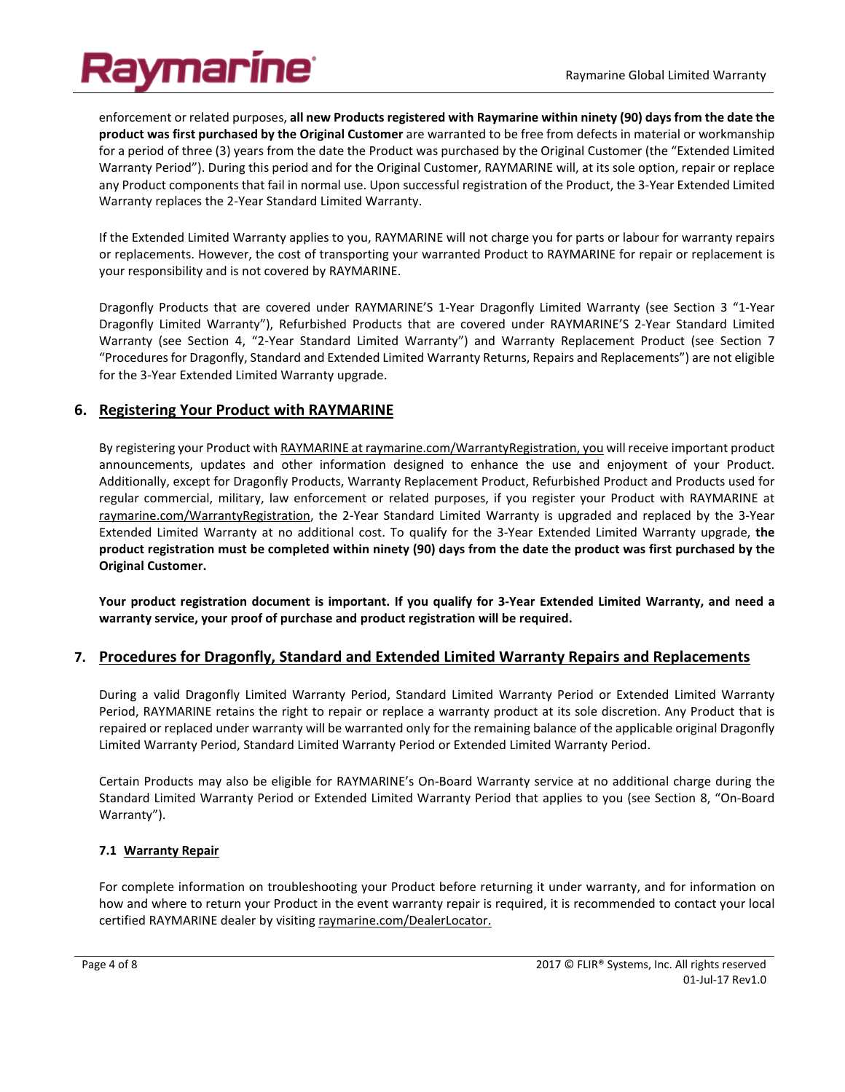## aymarine<sup>.</sup>

enforcement or related purposes, **all new Products registered with Raymarine within ninety (90) days from the date the product was first purchased by the Original Customer** are warranted to be free from defects in material or workmanship for a period of three (3) years from the date the Product was purchased by the Original Customer (the "Extended Limited Warranty Period"). During this period and for the Original Customer, RAYMARINE will, at its sole option, repair or replace any Product components that fail in normal use. Upon successful registration of the Product, the 3-Year Extended Limited Warranty replaces the 2-Year Standard Limited Warranty.

If the Extended Limited Warranty applies to you, RAYMARINE will not charge you for parts or labour for warranty repairs or replacements. However, the cost of transporting your warranted Product to RAYMARINE for repair or replacement is your responsibility and is not covered by RAYMARINE.

Dragonfly Products that are covered under RAYMARINE'S 1-Year Dragonfly Limited Warranty (see Section 3 "1-Year Dragonfly Limited Warranty"), Refurbished Products that are covered under RAYMARINE'S 2-Year Standard Limited Warranty (see Section 4, "2-Year Standard Limited Warranty") and Warranty Replacement Product (see Section 7 "Procedures for Dragonfly, Standard and Extended Limited Warranty Returns, Repairs and Replacements") are not eligible for the 3-Year Extended Limited Warranty upgrade.

#### **6. Registering Your Product with RAYMARINE**

By registering your Product with RAYMARINE at raymarine.com/WarrantyRegistration, you will receive important product announcements, updates and other information designed to enhance the use and enjoyment of your Product. Additionally, except for Dragonfly Products, Warranty Replacement Product, Refurbished Product and Products used for regular commercial, military, law enforcement or related purposes, if you register your Product with RAYMARINE at raymarine.com/WarrantyRegistration, the 2-Year Standard Limited Warranty is upgraded and replaced by the 3-Year Extended Limited Warranty at no additional cost. To qualify for the 3-Year Extended Limited Warranty upgrade, **the product registration must be completed within ninety (90) days from the date the product was first purchased by the Original Customer.**

**Your product registration document is important. If you qualify for 3-Year Extended Limited Warranty, and need a warranty service, your proof of purchase and product registration will be required.** 

#### **7. Procedures for Dragonfly, Standard and Extended Limited Warranty Repairs and Replacements**

During a valid Dragonfly Limited Warranty Period, Standard Limited Warranty Period or Extended Limited Warranty Period, RAYMARINE retains the right to repair or replace a warranty product at its sole discretion. Any Product that is repaired or replaced under warranty will be warranted only for the remaining balance of the applicable original Dragonfly Limited Warranty Period, Standard Limited Warranty Period or Extended Limited Warranty Period.

Certain Products may also be eligible for RAYMARINE's On-Board Warranty service at no additional charge during the Standard Limited Warranty Period or Extended Limited Warranty Period that applies to you (see Section 8, "On-Board Warranty").

#### **7.1 Warranty Repair**

For complete information on troubleshooting your Product before returning it under warranty, and for information on how and where to return your Product in the event warranty repair is required, it is recommended to contact your local certified RAYMARINE dealer by visiting raymarine.com/DealerLocator.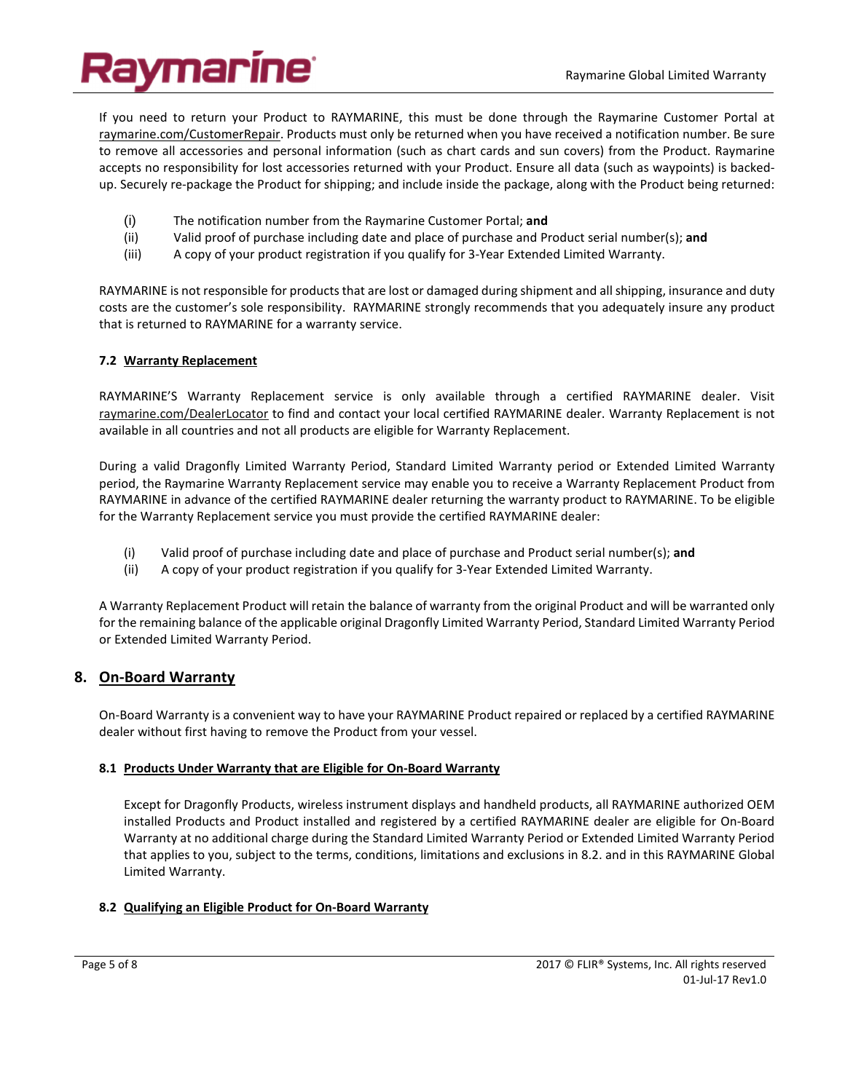If you need to return your Product to RAYMARINE, this must be done through the Raymarine Customer Portal at raymarine.com/CustomerRepair. Products must only be returned when you have received a notification number. Be sure to remove all accessories and personal information (such as chart cards and sun covers) from the Product. Raymarine accepts no responsibility for lost accessories returned with your Product. Ensure all data (such as waypoints) is backedup. Securely re-package the Product for shipping; and include inside the package, along with the Product being returned:

- (i) The notification number from the Raymarine Customer Portal; **and**
- (ii) Valid proof of purchase including date and place of purchase and Product serial number(s); **and**
- (iii) A copy of your product registration if you qualify for 3-Year Extended Limited Warranty.

RAYMARINE is not responsible for products that are lost or damaged during shipment and all shipping, insurance and duty costs are the customer's sole responsibility. RAYMARINE strongly recommends that you adequately insure any product that is returned to RAYMARINE for a warranty service.

#### **7.2 Warranty Replacement**

RAYMARINE'S Warranty Replacement service is only available through a certified RAYMARINE dealer. Visit raymarine.com/DealerLocator to find and contact your local certified RAYMARINE dealer. Warranty Replacement is not available in all countries and not all products are eligible for Warranty Replacement.

During a valid Dragonfly Limited Warranty Period, Standard Limited Warranty period or Extended Limited Warranty period, the Raymarine Warranty Replacement service may enable you to receive a Warranty Replacement Product from RAYMARINE in advance of the certified RAYMARINE dealer returning the warranty product to RAYMARINE. To be eligible for the Warranty Replacement service you must provide the certified RAYMARINE dealer:

- (i) Valid proof of purchase including date and place of purchase and Product serial number(s); **and**
- (ii) A copy of your product registration if you qualify for 3-Year Extended Limited Warranty.

A Warranty Replacement Product will retain the balance of warranty from the original Product and will be warranted only for the remaining balance of the applicable original Dragonfly Limited Warranty Period, Standard Limited Warranty Period or Extended Limited Warranty Period.

#### **8. On-Board Warranty**

On-Board Warranty is a convenient way to have your RAYMARINE Product repaired or replaced by a certified RAYMARINE dealer without first having to remove the Product from your vessel.

#### **8.1 Products Under Warranty that are Eligible for On-Board Warranty**

Except for Dragonfly Products, wireless instrument displays and handheld products, all RAYMARINE authorized OEM installed Products and Product installed and registered by a certified RAYMARINE dealer are eligible for On-Board Warranty at no additional charge during the Standard Limited Warranty Period or Extended Limited Warranty Period that applies to you, subject to the terms, conditions, limitations and exclusions in 8.2. and in this RAYMARINE Global Limited Warranty.

#### **8.2 Qualifying an Eligible Product for On-Board Warranty**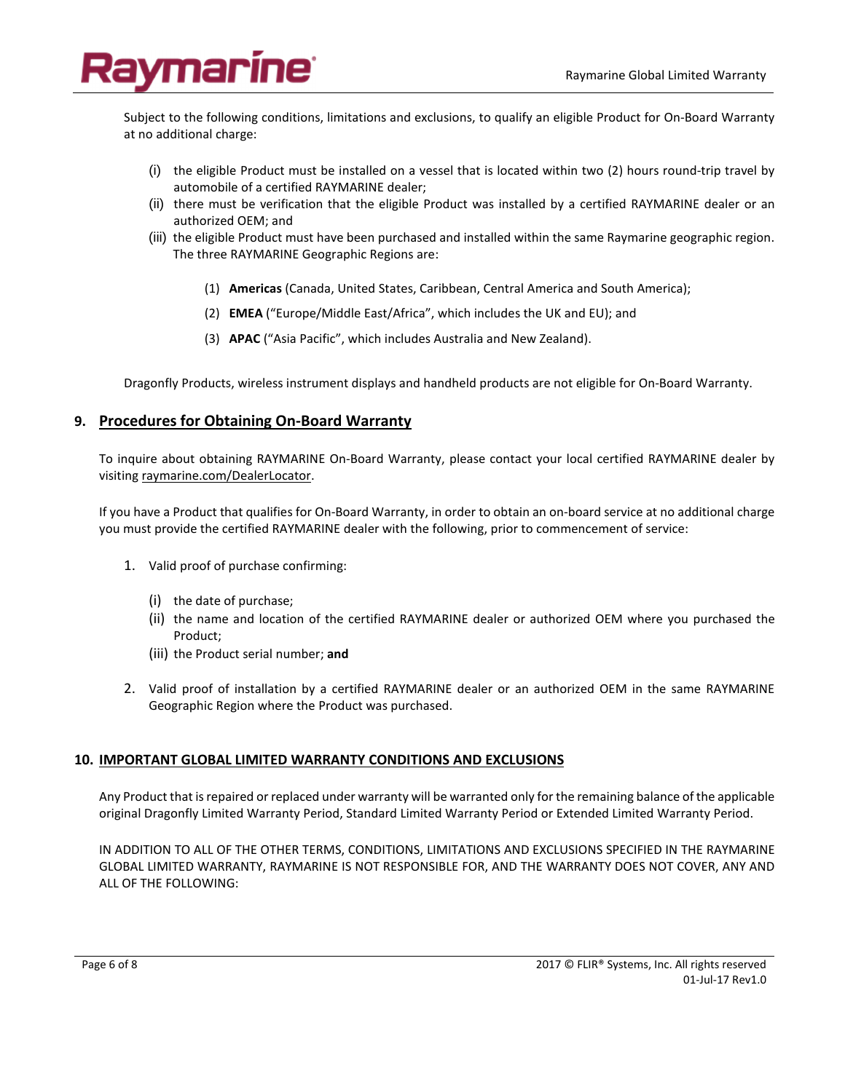## ymarine<sup>.</sup>

Subject to the following conditions, limitations and exclusions, to qualify an eligible Product for On-Board Warranty at no additional charge:

- (i) the eligible Product must be installed on a vessel that is located within two (2) hours round-trip travel by automobile of a certified RAYMARINE dealer;
- (ii) there must be verification that the eligible Product was installed by a certified RAYMARINE dealer or an authorized OEM; and
- (iii) the eligible Product must have been purchased and installed within the same Raymarine geographic region. The three RAYMARINE Geographic Regions are:
	- (1) **Americas** (Canada, United States, Caribbean, Central America and South America);
	- (2) **EMEA** ("Europe/Middle East/Africa", which includes the UK and EU); and
	- (3) **APAC** ("Asia Pacific", which includes Australia and New Zealand).

Dragonfly Products, wireless instrument displays and handheld products are not eligible for On-Board Warranty.

#### **9. Procedures for Obtaining On-Board Warranty**

To inquire about obtaining RAYMARINE On-Board Warranty, please contact your local certified RAYMARINE dealer by visiting raymarine.com/DealerLocator.

If you have a Product that qualifies for On-Board Warranty, in order to obtain an on-board service at no additional charge you must provide the certified RAYMARINE dealer with the following, prior to commencement of service:

- 1. Valid proof of purchase confirming:
	- (i) the date of purchase;
	- (ii) the name and location of the certified RAYMARINE dealer or authorized OEM where you purchased the Product;
	- (iii) the Product serial number; **and**
- 2. Valid proof of installation by a certified RAYMARINE dealer or an authorized OEM in the same RAYMARINE Geographic Region where the Product was purchased.

#### **10. IMPORTANT GLOBAL LIMITED WARRANTY CONDITIONS AND EXCLUSIONS**

Any Product that is repaired or replaced under warranty will be warranted only for the remaining balance of the applicable original Dragonfly Limited Warranty Period, Standard Limited Warranty Period or Extended Limited Warranty Period.

IN ADDITION TO ALL OF THE OTHER TERMS, CONDITIONS, LIMITATIONS AND EXCLUSIONS SPECIFIED IN THE RAYMARINE GLOBAL LIMITED WARRANTY, RAYMARINE IS NOT RESPONSIBLE FOR, AND THE WARRANTY DOES NOT COVER, ANY AND ALL OF THE FOLLOWING: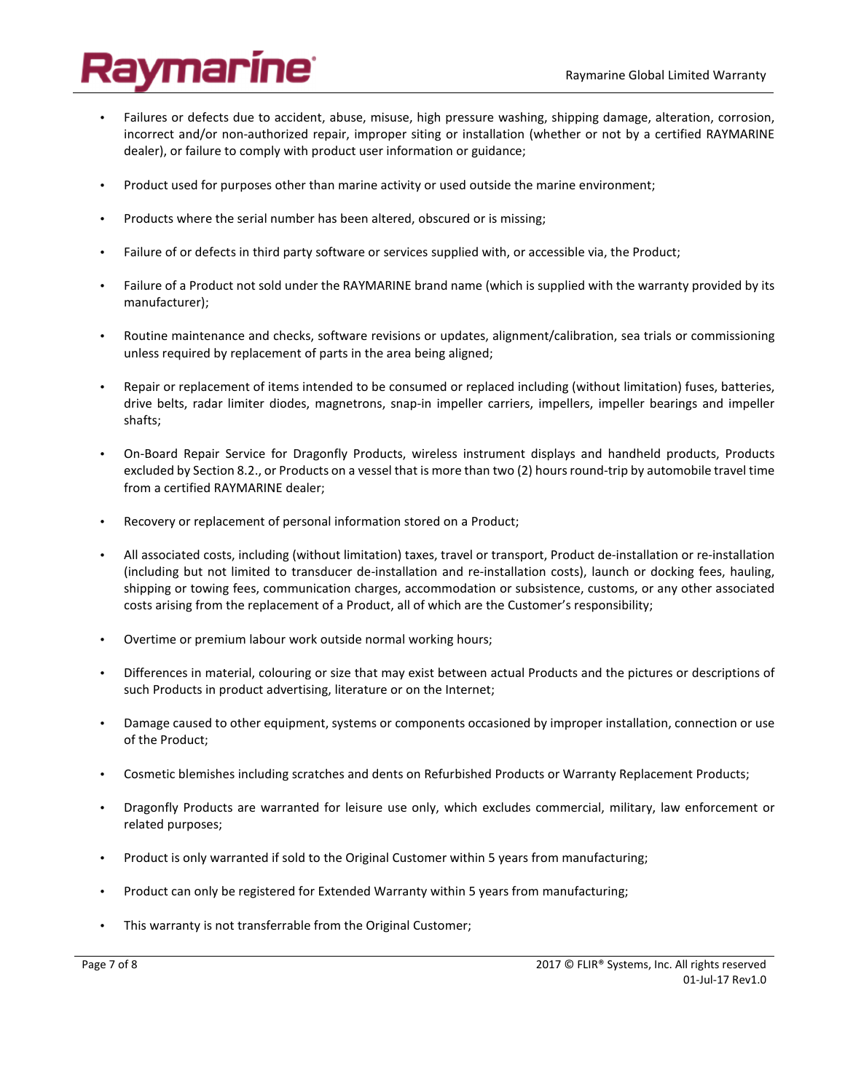# aymarine<sup>.</sup>

- Failures or defects due to accident, abuse, misuse, high pressure washing, shipping damage, alteration, corrosion, incorrect and/or non-authorized repair, improper siting or installation (whether or not by a certified RAYMARINE dealer), or failure to comply with product user information or guidance;
- Product used for purposes other than marine activity or used outside the marine environment;
- Products where the serial number has been altered, obscured or is missing;
- Failure of or defects in third party software or services supplied with, or accessible via, the Product;
- Failure of a Product not sold under the RAYMARINE brand name (which is supplied with the warranty provided by its manufacturer);
- Routine maintenance and checks, software revisions or updates, alignment/calibration, sea trials or commissioning unless required by replacement of parts in the area being aligned;
- Repair or replacement of items intended to be consumed or replaced including (without limitation) fuses, batteries, drive belts, radar limiter diodes, magnetrons, snap-in impeller carriers, impellers, impeller bearings and impeller shafts;
- On-Board Repair Service for Dragonfly Products, wireless instrument displays and handheld products, Products excluded by Section 8.2., or Products on a vessel that is more than two (2) hours round-trip by automobile travel time from a certified RAYMARINE dealer;
- Recovery or replacement of personal information stored on a Product;
- All associated costs, including (without limitation) taxes, travel or transport, Product de-installation or re-installation (including but not limited to transducer de-installation and re-installation costs), launch or docking fees, hauling, shipping or towing fees, communication charges, accommodation or subsistence, customs, or any other associated costs arising from the replacement of a Product, all of which are the Customer's responsibility;
- Overtime or premium labour work outside normal working hours;
- Differences in material, colouring or size that may exist between actual Products and the pictures or descriptions of such Products in product advertising, literature or on the Internet;
- Damage caused to other equipment, systems or components occasioned by improper installation, connection or use of the Product;
- Cosmetic blemishes including scratches and dents on Refurbished Products or Warranty Replacement Products;
- Dragonfly Products are warranted for leisure use only, which excludes commercial, military, law enforcement or related purposes;
- Product is only warranted if sold to the Original Customer within 5 years from manufacturing;
- Product can only be registered for Extended Warranty within 5 years from manufacturing;
- This warranty is not transferrable from the Original Customer;